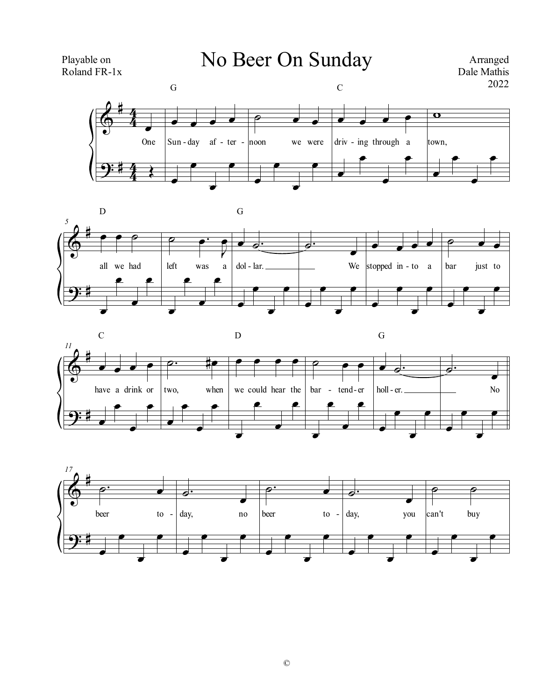